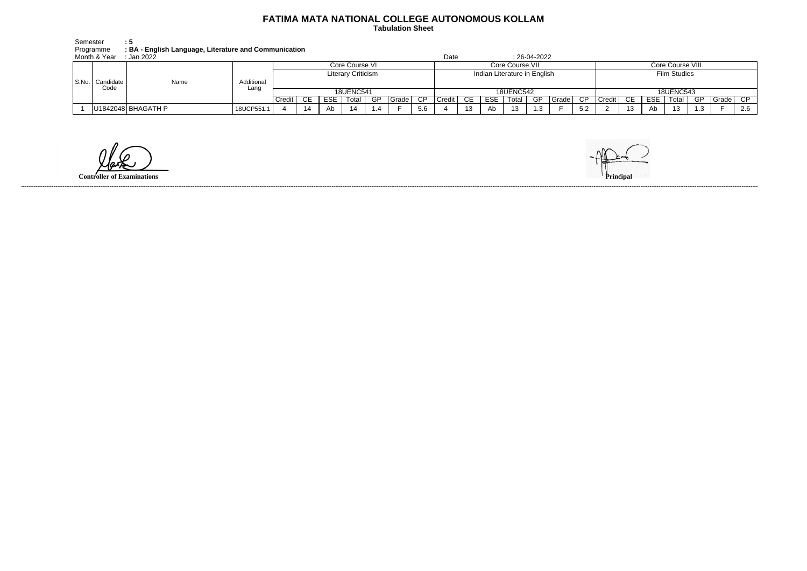## **FATIMA MATA NATIONAL COLLEGE AUTONOMOUS KOLLAM**

 **Tabulation Sheet** 

| Semester     | : 5                                                   |
|--------------|-------------------------------------------------------|
| Programme    | : BA - English Language, Literature and Communication |
| Month & Year | :Jan 2022:                                            |
|              |                                                       |

| Month & Year<br>Jan 2022    |                    |                    |                           |           |            |       |     |         |                              |                  |     | 26-04-2022<br>Date |       |     |           |                     |                  |                       |            |       |     |           |     |
|-----------------------------|--------------------|--------------------|---------------------------|-----------|------------|-------|-----|---------|------------------------------|------------------|-----|--------------------|-------|-----|-----------|---------------------|------------------|-----------------------|------------|-------|-----|-----------|-----|
| S.No.   Candidate  <br>Code |                    |                    | Core Course VI            |           |            |       |     |         |                              | Core Course VII  |     |                    |       |     |           |                     | Core Course VIII |                       |            |       |     |           |     |
|                             | Name               | Additional<br>Lang | <b>Literary Criticism</b> |           |            |       |     |         | Indian Literature in English |                  |     |                    |       |     |           | <b>Film Studies</b> |                  |                       |            |       |     |           |     |
|                             |                    |                    | <b>18UENC541</b>          |           |            |       |     |         |                              | <b>18UENC542</b> |     |                    |       |     |           |                     | <b>18UENC543</b> |                       |            |       |     |           |     |
|                             |                    |                    | Credit                    | <b>CE</b> | <b>ESE</b> | Total | -GP | Grade I | <b>CP</b>                    | Credit I         | CE. | ESE.               | Total | -GP | l Grade I | CP.                 | Credit           | CE                    | <b>ESE</b> | Total | -GP | I Grade I | CP. |
|                             | U1842048 BHAGATH P | 18UCP551.1         |                           |           | Ab         |       |     |         | 5.6                          |                  | 13  | Ab.                | 13    | 1 2 |           | 5.2                 |                  | $\overline{A}$<br>د ا | Ab         | 12    |     |           | 2.6 |

**Controller of Examinations** 

------------------------------------------------------------------------------------------------------------------------------------------------------------------------------------------------------------------------------------------------------------------------------------------------------------------------------------------------------------------------------------------------------------------------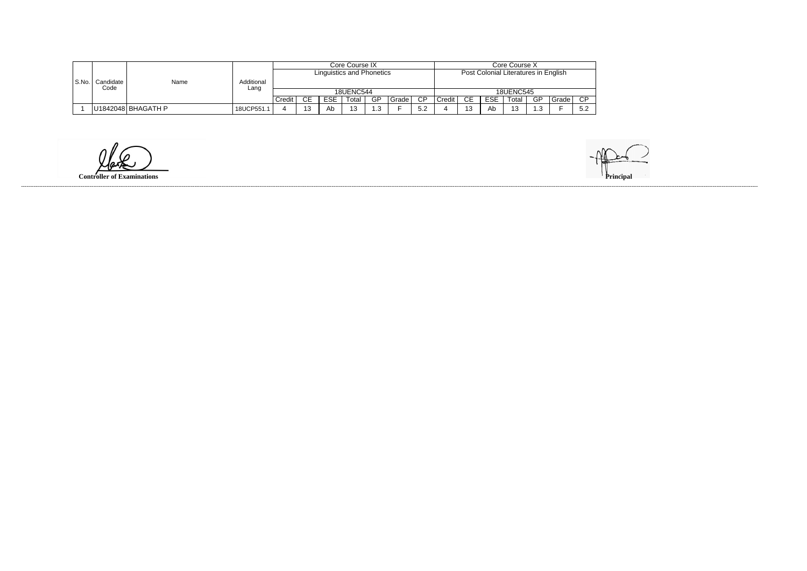|       |                     |                    |            |                  |    |            | Core Course IX                   |     |       | Core Course X                        |                     |                  |            |       |    |       |                           |  |
|-------|---------------------|--------------------|------------|------------------|----|------------|----------------------------------|-----|-------|--------------------------------------|---------------------|------------------|------------|-------|----|-------|---------------------------|--|
|       |                     |                    |            |                  |    |            | <b>Linguistics and Phonetics</b> |     |       | Post Colonial Literatures in English |                     |                  |            |       |    |       |                           |  |
| S.No. | Candidate I<br>Code | Name               | Additional |                  |    |            |                                  |     |       |                                      |                     |                  |            |       |    |       |                           |  |
|       |                     |                    | Lang       | <b>18UENC544</b> |    |            |                                  |     |       |                                      |                     | <b>18UENC545</b> |            |       |    |       |                           |  |
|       |                     |                    |            | Credit           | CЕ | <b>ESE</b> | Total                            | GP  | Grade | $\overline{CP}$                      | Credit <sup>1</sup> | CE               | <b>ESE</b> | ⊺otal | GP | Grade | <b>CP</b>                 |  |
|       |                     | U1842048 BHAGATH P | 18UCP551.  |                  |    | <b>AD</b>  | $\Lambda$<br>ںו                  | ∣.3 |       | 5.2                                  |                     | 13               | Ab         | ៱៱    | .3 |       | $\mathsf{r} \circ$<br>◡.∠ |  |

**Controller of Examinations** 

------------------------------------------------------------------------------------------------------------------------------------------------------------------------------------------------------------------------------------------------------------------------------------------------------------------------------------------------------------------------------------------------------------------------